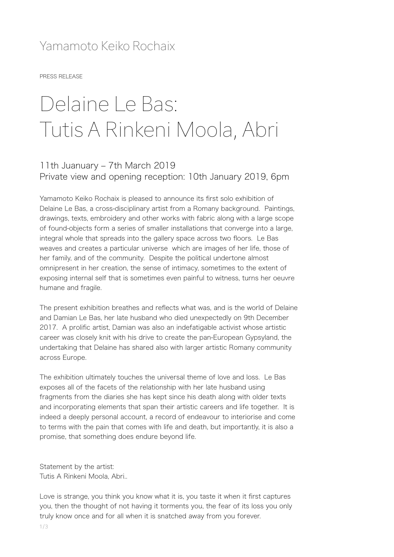## Yamamoto Keiko Rochaix

PRESS RELEASE

## Delaine Le Bas: Tutis A Rinkeni Moola, Abri

## 11th Juanuary - 7th March 2019 Private view and opening reception: 10th January 2019, 6pm

Yamamoto Keiko Rochaix is pleased to announce its first solo exhibition of Delaine Le Bas, a cross-disciplinary artist from a Romany background. Paintings, drawings, texts, embroidery and other works with fabric along with a large scope of found-objects form a series of smaller installations that converge into a large, integral whole that spreads into the gallery space across two floors. Le Bas weaves and creates a particular universe which are images of her life, those of her family, and of the community. Despite the political undertone almost omnipresent in her creation, the sense of intimacy, sometimes to the extent of exposing internal self that is sometimes even painful to witness, turns her oeuvre humane and fragile.

The present exhibition breathes and reflects what was, and is the world of Delaine and Damian Le Bas, her late husband who died unexpectedly on 9th December 2017. A prolific artist, Damian was also an indefatigable activist whose artistic career was closely knit with his drive to create the pan-European Gypsyland, the undertaking that Delaine has shared also with larger artistic Romany community across Europe.

The exhibition ultimately touches the universal theme of love and loss. Le Bas exposes all of the facets of the relationship with her late husband using fragments from the diaries she has kept since his death along with older texts and incorporating elements that span their artistic careers and life together. It is indeed a deeply personal account, a record of endeavour to interiorise and come to terms with the pain that comes with life and death, but importantly, it is also a promise, that something does endure beyond life.

Statement by the artist: Tutis A Rinkeni Moola, Abri..

Love is strange, you think you know what it is, you taste it when it first captures you, then the thought of not having it torments you, the fear of its loss you only truly know once and for all when it is snatched away from you forever.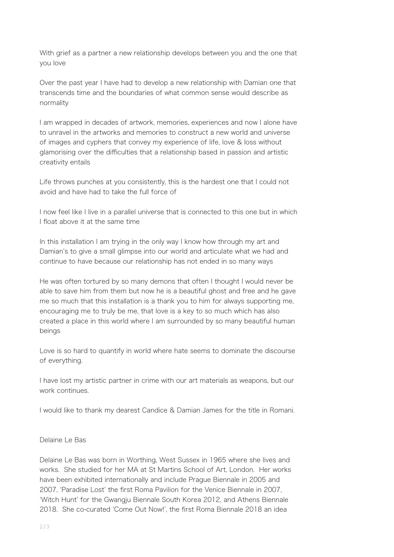With grief as a partner a new relationship develops between you and the one that you love

Over the past year I have had to develop a new relationship with Damian one that transcends time and the boundaries of what common sense would describe as normality

I am wrapped in decades of artwork, memories, experiences and now I alone have to unravel in the artworks and memories to construct a new world and universe of images and cyphers that convey my experience of life, love & loss without glamorising over the difficulties that a relationship based in passion and artistic creativity entails

Life throws punches at you consistently, this is the hardest one that I could not avoid and have had to take the full force of

I now feel like I live in a parallel universe that is connected to this one but in which I float above it at the same time

In this installation I am trying in the only way I know how through my art and Damian's to give a small glimpse into our world and articulate what we had and continue to have because our relationship has not ended in so many ways

He was often tortured by so many demons that often I thought I would never be able to save him from them but now he is a beautiful ghost and free and he gave me so much that this installation is a thank you to him for always supporting me, encouraging me to truly be me, that love is a key to so much which has also created a place in this world where I am surrounded by so many beautiful human beings

Love is so hard to quantify in world where hate seems to dominate the discourse of everything.

I have lost my artistic partner in crime with our art materials as weapons, but our work continues.

I would like to thank my dearest Candice & Damian James for the title in Romani.

## Delaine Le Bas

Delaine Le Bas was born in Worthing, West Sussex in 1965 where she lives and works. She studied for her MA at St Martins School of Art, London. Her works have been exhibited internationally and include Prague Biennale in 2005 and 2007, ʻParadise Lost' the first Roma Pavilion for the Venice Biennale in 2007, ʻWitch Hunt' for the Gwangju Biennale South Korea 2012, and Athens Biennale 2018. She co-curated ʻCome Out Now!', the first Roma Biennale 2018 an idea